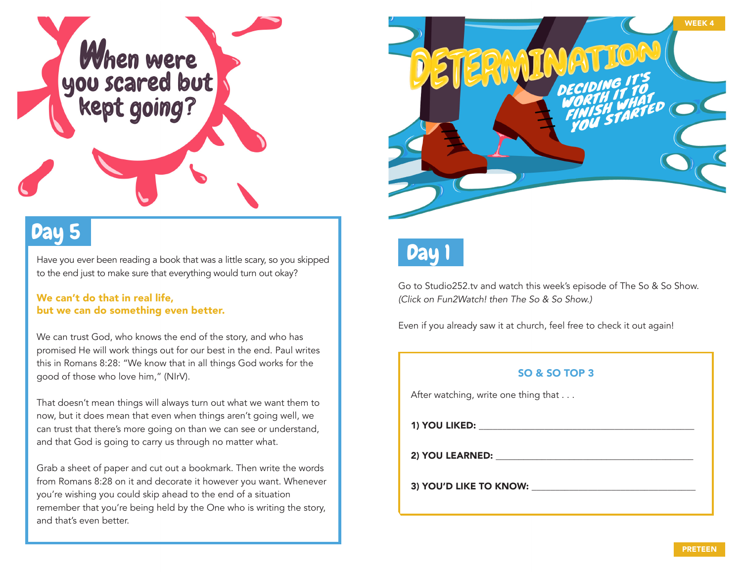

# Day 5

Have you ever been reading a book that was a little scary, so you skipped to the end just to make sure that everything would turn out okay?

#### We can't do that in real life, but we can do something even better.

We can trust God, who knows the end of the story, and who has promised He will work things out for our best in the end. Paul writes this in Romans 8:28: "We know that in all things God works for the good of those who love him," (NIrV).

That doesn't mean things will always turn out what we want them to now, but it does mean that even when things aren't going well, we can trust that there's more going on than we can see or understand, and that God is going to carry us through no matter what.

Grab a sheet of paper and cut out a bookmark. Then write the words from Romans 8:28 on it and decorate it however you want. Whenever you're wishing you could skip ahead to the end of a situation remember that you're being held by the One who is writing the story, and that's even better.





Go to Studio252.tv and watch this week's episode of The So & So Show. *(Click on Fun2Watch! then The So & So Show.)*

Even if you already saw it at church, feel free to check it out again!

#### SO & SO TOP 3

After watching, write one thing that . . .

1) YOU LIKED: \_\_\_\_\_\_\_\_\_\_\_\_\_\_\_\_\_\_\_\_\_\_\_\_\_\_\_\_\_\_\_\_\_\_\_\_\_\_\_\_\_\_\_\_\_\_

2) YOU LEARNED:

3) YOU'D LIKE TO KNOW: